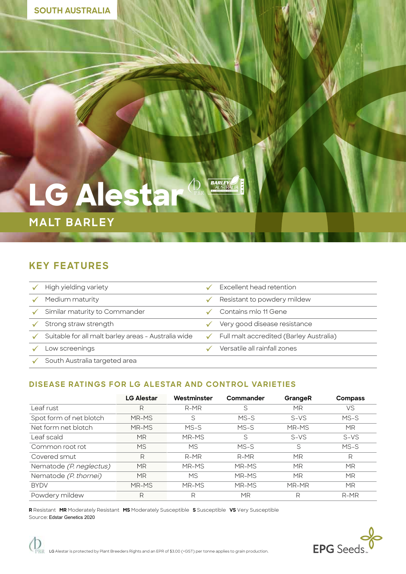# **LG Alesta**

## **MALT BARLEY**

### **KEY FEATURES**

| High yielding variety                               |              | Excellent head retention                |
|-----------------------------------------------------|--------------|-----------------------------------------|
| Medium maturity                                     |              | Resistant to powdery mildew             |
| Similar maturity to Commander                       |              | Contains mlo 11 Gene                    |
| Strong straw strength                               |              | Very good disease resistance            |
| Suitable for all malt barley areas - Australia wide | $\checkmark$ | Full malt accredited (Barley Australia) |
| Low screenings                                      |              | Versatile all rainfall zones            |
| South Australia targeted area                       |              |                                         |

**BARLEY** 

#### **DISEASE RATINGS FOR LG ALESTAR AND CONTROL VARIETIES**

|                         | <b>LG Alestar</b> | Westminster | Commander | GrangeR   | Compass   |
|-------------------------|-------------------|-------------|-----------|-----------|-----------|
| Leaf rust               | R                 | $R-MR$      | S         | <b>MR</b> | <b>VS</b> |
| Spot form of net blotch | MR-MS             | S           | $MS-S$    | $S-VS$    | MS-S      |
| Net form net blotch     | MR-MS             | $MS-S$      | MS-S      | MR-MS     | <b>MR</b> |
| Leaf scald              | <b>MR</b>         | MR-MS       | S         | $S-VS$    | $S-VS$    |
| Common root rot         | <b>MS</b>         | <b>MS</b>   | $MS-S$    | S         | $MS-S$    |
| Covered smut            | R                 | $R-MR$      | $R-MR$    | <b>MR</b> | R         |
| Nematode (P. neglectus) | <b>MR</b>         | MR-MS       | MR-MS     | <b>MR</b> | MR        |
| Nematode (P. thornei)   | <b>MR</b>         | <b>MS</b>   | MR-MS     | <b>MR</b> | MR        |
| <b>BYDV</b>             | MR-MS             | MR-MS       | MR-MS     | MR-MR     | <b>MR</b> |
| Powdery mildew          | R                 | R           | MR        | R         | $R-MR$    |

**R** Resistant **MR** Moderately Resistant **MS** Moderately Susceptible **S** Susceptible **VS** Very Susceptible Source: Edstar Genetics 2020